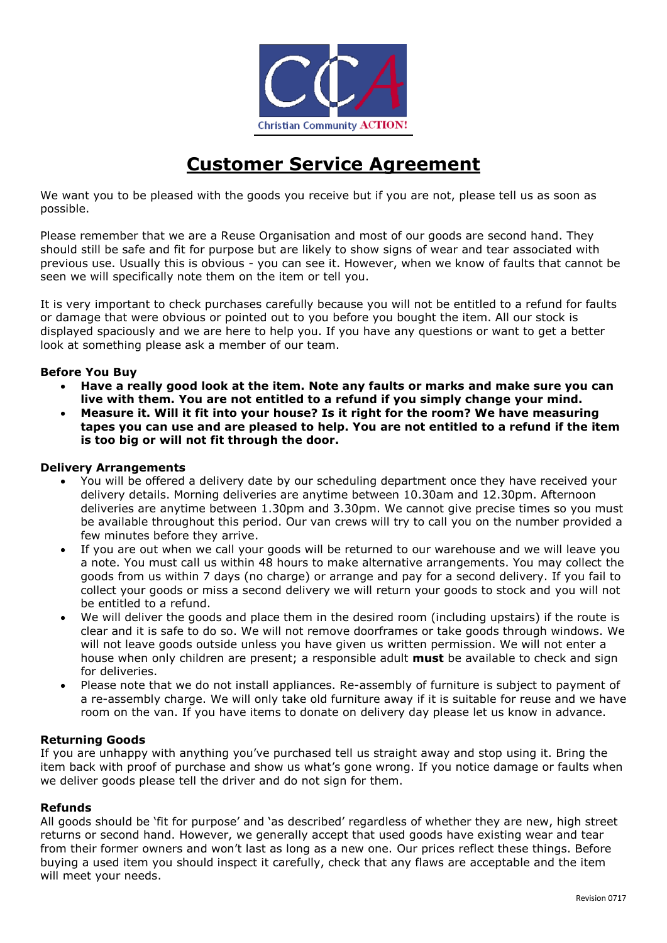

# **Customer Service Agreement**

We want you to be pleased with the goods you receive but if you are not, please tell us as soon as possible.

Please remember that we are a Reuse Organisation and most of our goods are second hand. They should still be safe and fit for purpose but are likely to show signs of wear and tear associated with previous use. Usually this is obvious - you can see it. However, when we know of faults that cannot be seen we will specifically note them on the item or tell you.

It is very important to check purchases carefully because you will not be entitled to a refund for faults or damage that were obvious or pointed out to you before you bought the item. All our stock is displayed spaciously and we are here to help you. If you have any questions or want to get a better look at something please ask a member of our team.

# **Before You Buy**

- **Have a really good look at the item. Note any faults or marks and make sure you can live with them. You are not entitled to a refund if you simply change your mind.**
- **Measure it. Will it fit into your house? Is it right for the room? We have measuring tapes you can use and are pleased to help. You are not entitled to a refund if the item is too big or will not fit through the door.**

### **Delivery Arrangements**

- You will be offered a delivery date by our scheduling department once they have received your delivery details. Morning deliveries are anytime between 10.30am and 12.30pm. Afternoon deliveries are anytime between 1.30pm and 3.30pm. We cannot give precise times so you must be available throughout this period. Our van crews will try to call you on the number provided a few minutes before they arrive.
- If you are out when we call your goods will be returned to our warehouse and we will leave you a note. You must call us within 48 hours to make alternative arrangements. You may collect the goods from us within 7 days (no charge) or arrange and pay for a second delivery. If you fail to collect your goods or miss a second delivery we will return your goods to stock and you will not be entitled to a refund.
- We will deliver the goods and place them in the desired room (including upstairs) if the route is clear and it is safe to do so. We will not remove doorframes or take goods through windows. We will not leave goods outside unless you have given us written permission. We will not enter a house when only children are present; a responsible adult **must** be available to check and sign for deliveries.
- Please note that we do not install appliances. Re-assembly of furniture is subject to payment of a re-assembly charge. We will only take old furniture away if it is suitable for reuse and we have room on the van. If you have items to donate on delivery day please let us know in advance.

### **Returning Goods**

If you are unhappy with anything you've purchased tell us straight away and stop using it. Bring the item back with proof of purchase and show us what's gone wrong. If you notice damage or faults when we deliver goods please tell the driver and do not sign for them.

### **Refunds**

All goods should be 'fit for purpose' and 'as described' regardless of whether they are new, high street returns or second hand. However, we generally accept that used goods have existing wear and tear from their former owners and won't last as long as a new one. Our prices reflect these things. Before buying a used item you should inspect it carefully, check that any flaws are acceptable and the item will meet your needs.